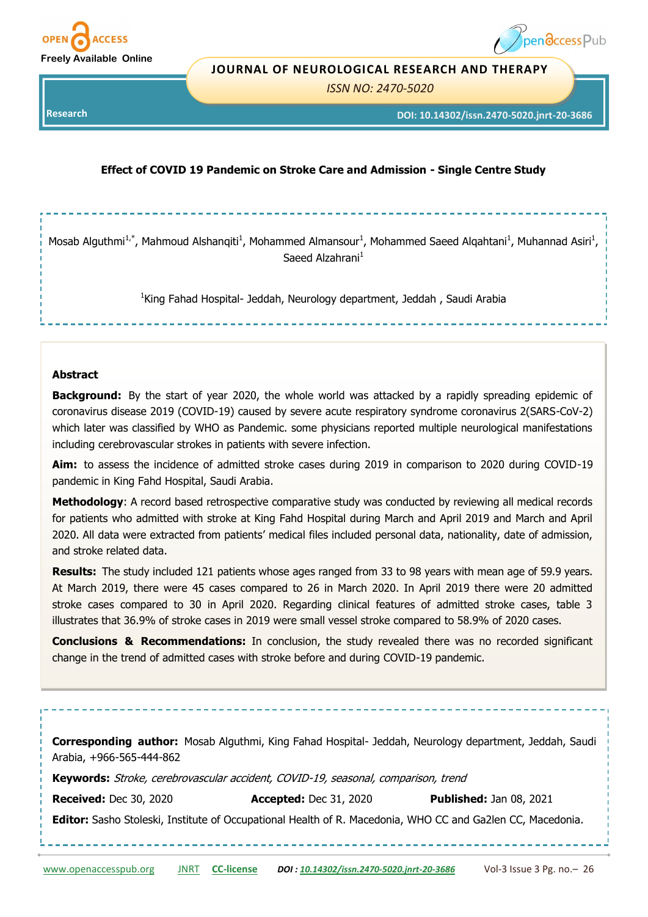



#### **JOURNAL OF NEUROLOGICAL RESEARCH AND THERAPY**

*ISSN NO: 2470-5020* 

**Research** 

**DOI: 10.14302/issn.2470-5020.jnrt-20-3686**

## **Effect of COVID 19 Pandemic on Stroke Care and Admission - Single Centre Study**

Mosab Alguthmi<sup>1,\*</sup>, Mahmoud Alshanqiti<sup>1</sup>, Mohammed Almansour<sup>1</sup>, Mohammed Saeed Alqahtani<sup>1</sup>, Muhannad Asiri<sup>1</sup>, Saeed Alzahrani<sup>1</sup>

<sup>1</sup>King Fahad Hospital- Jeddah, Neurology department, Jeddah , Saudi Arabia

#### **Abstract**

**Background:** By the start of year 2020, the whole world was attacked by a rapidly spreading epidemic of coronavirus disease 2019 (COVID-19) caused by [severe acute respiratory syndrome coronavirus 2\(S](https://en.wikipedia.org/wiki/Severe_acute_respiratory_syndrome_coronavirus_2)ARS-CoV-2) which later was classified by WHO as Pandemic. some physicians reported multiple neurological manifestations including cerebrovascular strokes in patients with severe infection.

**Aim:** to assess the incidence of admitted stroke cases during 2019 in comparison to 2020 during COVID-19 pandemic in King Fahd Hospital, Saudi Arabia.

**Methodology**: A record based retrospective comparative study was conducted by reviewing all medical records for patients who admitted with stroke at King Fahd Hospital during March and April 2019 and March and April 2020. All data were extracted from patients' medical files included personal data, nationality, date of admission, and stroke related data.

**Results:** The study included 121 patients whose ages ranged from 33 to 98 years with mean age of 59.9 years. At March 2019, there were 45 cases compared to 26 in March 2020. In April 2019 there were 20 admitted stroke cases compared to 30 in April 2020. Regarding clinical features of admitted stroke cases, table 3 illustrates that 36.9% of stroke cases in 2019 were small vessel stroke compared to 58.9% of 2020 cases.

**Conclusions & Recommendations:** In conclusion, the study revealed there was no recorded significant change in the trend of admitted cases with stroke before and during COVID-19 pandemic.

[www.openaccesspub.org](http://openaccesspub.org/) [JNRT](http://openaccesspub.org/journal/jnrt) **CC-[license](https://openaccesspub.org/journal/jnrt/copyright-license)** *DOI : [10.14302/issn.2470](https://doi.org/10.14302/issn.2470-5020.jnrt-20-3686)-5020.jnrt-20-3686* Vol-3 Issue 3 Pg. no.– 26 **Corresponding author:** Mosab Alguthmi, King Fahad Hospital- Jeddah, Neurology department, Jeddah, Saudi Arabia, +966-565-444-862 **Keywords:** Stroke, cerebrovascular accident, COVID-19, seasonal, comparison, trend **Received:** Dec 30, 2020 **Accepted:** Dec 31, 2020 **Published:** Jan 08, 2021 **Editor:** Sasho Stoleski, Institute of Occupational Health of R. Macedonia, WHO CC and Ga2len CC, Macedonia.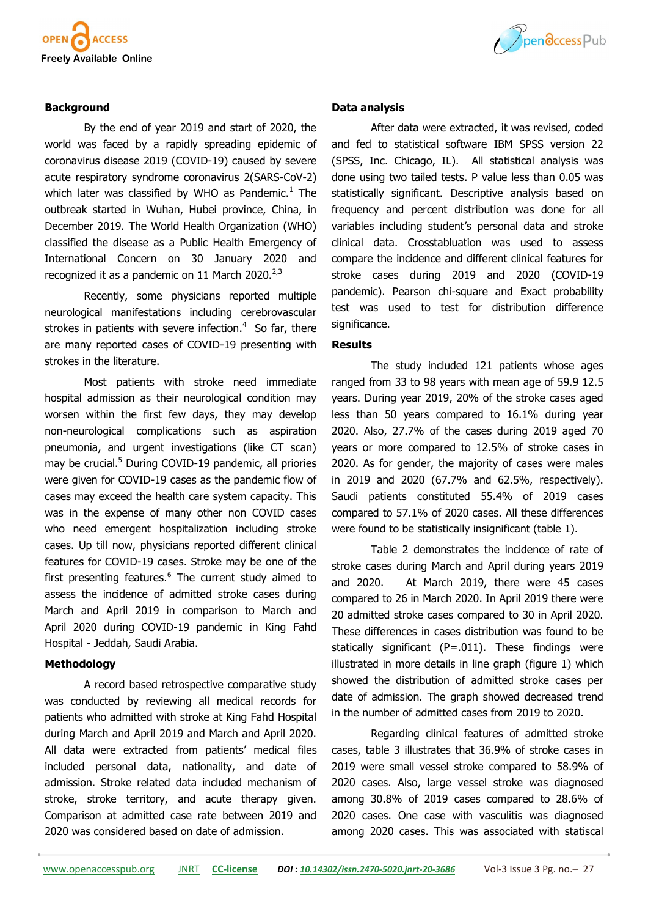

# Ppendccess Pub

## **Background**

By the end of year 2019 and start of 2020, the world was faced by a rapidly spreading epidemic of coronavirus disease 2019 (COVID-19) caused by severe [acute respiratory syndrome coronavirus 2\(S](https://en.wikipedia.org/wiki/Severe_acute_respiratory_syndrome_coronavirus_2)ARS-CoV-2) which later was classified by WHO as Pandemic. $<sup>1</sup>$  The</sup> outbreak started in [Wuhan,](https://en.wikipedia.org/wiki/Wuhan) [Hubei p](https://en.wikipedia.org/wiki/Hubei)rovince, China, in December 2019. The [World Health Organization \(](https://en.wikipedia.org/wiki/World_Health_Organization)WHO) classified the disease as a [Public Health Emergency of](https://en.wikipedia.org/wiki/Public_Health_Emergency_of_International_Concern)  [International Concern o](https://en.wikipedia.org/wiki/Public_Health_Emergency_of_International_Concern)n 30 January 2020 and recognized it as a pandemic on 11 March 2020. $^{2,3}$ 

Recently, some physicians reported multiple neurological manifestations including cerebrovascular strokes in patients with severe infection. $4\,$  So far, there are many reported cases of COVID-19 presenting with strokes in the literature.

Most patients with stroke need immediate hospital admission as their neurological condition may worsen within the first few days, they may develop non-neurological complications such as aspiration pneumonia, and urgent investigations (like CT scan) may be crucial.<sup>5</sup> During COVID-19 pandemic, all priories were given for COVID-19 cases as the pandemic flow of cases may exceed the health care system capacity. This was in the expense of many other non COVID cases who need emergent hospitalization including stroke cases. Up till now, physicians reported different clinical features for COVID-19 cases. Stroke may be one of the first presenting features.<sup>6</sup> The current study aimed to assess the incidence of admitted stroke cases during March and April 2019 in comparison to March and April 2020 during COVID-19 pandemic in King Fahd Hospital - Jeddah, Saudi Arabia.

#### **Methodology**

A record based retrospective comparative study was conducted by reviewing all medical records for patients who admitted with stroke at King Fahd Hospital during March and April 2019 and March and April 2020. All data were extracted from patients' medical files included personal data, nationality, and date of admission. Stroke related data included mechanism of stroke, stroke territory, and acute therapy given. Comparison at admitted case rate between 2019 and 2020 was considered based on date of admission.

#### **Data analysis**

After data were extracted, it was revised, coded and fed to statistical software IBM SPSS version 22 (SPSS, Inc. Chicago, IL). All statistical analysis was done using two tailed tests. P value less than 0.05 was statistically significant. Descriptive analysis based on frequency and percent distribution was done for all variables including student's personal data and stroke clinical data. Crosstabluation was used to assess compare the incidence and different clinical features for stroke cases during 2019 and 2020 (COVID-19 pandemic). Pearson chi-square and Exact probability test was used to test for distribution difference significance.

### **Results**

The study included 121 patients whose ages ranged from 33 to 98 years with mean age of 59.9 12.5 years. During year 2019, 20% of the stroke cases aged less than 50 years compared to 16.1% during year 2020. Also, 27.7% of the cases during 2019 aged 70 years or more compared to 12.5% of stroke cases in 2020. As for gender, the majority of cases were males in 2019 and 2020 (67.7% and 62.5%, respectively). Saudi patients constituted 55.4% of 2019 cases compared to 57.1% of 2020 cases. All these differences were found to be statistically insignificant (table 1).

Table 2 demonstrates the incidence of rate of stroke cases during March and April during years 2019 and 2020. At March 2019, there were 45 cases compared to 26 in March 2020. In April 2019 there were 20 admitted stroke cases compared to 30 in April 2020. These differences in cases distribution was found to be statically significant ( $P = .011$ ). These findings were illustrated in more details in line graph (figure 1) which showed the distribution of admitted stroke cases per date of admission. The graph showed decreased trend in the number of admitted cases from 2019 to 2020.

Regarding clinical features of admitted stroke cases, table 3 illustrates that 36.9% of stroke cases in 2019 were small vessel stroke compared to 58.9% of 2020 cases. Also, large vessel stroke was diagnosed among 30.8% of 2019 cases compared to 28.6% of 2020 cases. One case with vasculitis was diagnosed among 2020 cases. This was associated with statiscal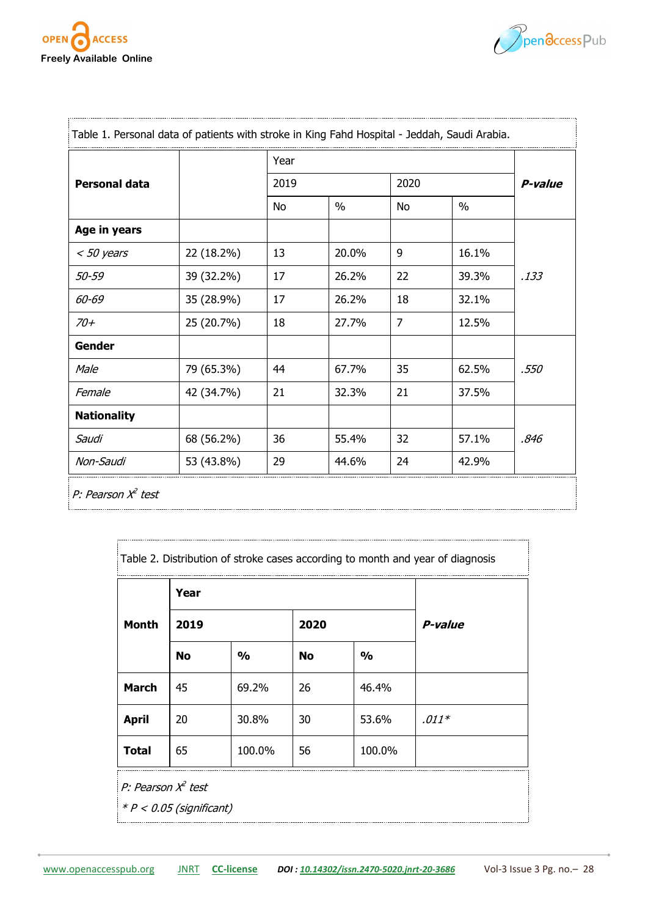

**Professional Profession** 



|                      |            | Year |               |                |       |         |  |
|----------------------|------------|------|---------------|----------------|-------|---------|--|
| <b>Personal data</b> |            | 2019 |               | 2020           |       | P-value |  |
|                      |            | No   | $\frac{0}{0}$ | No             | $\%$  |         |  |
| Age in years         |            |      |               |                |       |         |  |
| $<$ 50 years         | 22 (18.2%) | 13   | 20.0%         | 9              | 16.1% | .133    |  |
| 50-59                | 39 (32.2%) | 17   | 26.2%         | 22             | 39.3% |         |  |
| 60-69                | 35 (28.9%) | 17   | 26.2%         | 18             | 32.1% |         |  |
| $70 +$               | 25 (20.7%) | 18   | 27.7%         | $\overline{7}$ | 12.5% |         |  |
| <b>Gender</b>        |            |      |               |                |       |         |  |
| Male                 | 79 (65.3%) | 44   | 67.7%         | 35             | 62.5% | .550    |  |
| Female               | 42 (34.7%) | 21   | 32.3%         | 21             | 37.5% |         |  |
| <b>Nationality</b>   |            |      |               |                |       |         |  |
| Saudi                | 68 (56.2%) | 36   | 55.4%         | 32             | 57.1% | .846    |  |
| Non-Saudi            | 53 (43.8%) | 29   | 44.6%         | 24             | 42.9% |         |  |

| Table 2. Distribution of stroke cases according to month and year of diagnosis |           |               |      |               |         |  |  |
|--------------------------------------------------------------------------------|-----------|---------------|------|---------------|---------|--|--|
| <b>Month</b>                                                                   | Year      |               |      |               |         |  |  |
|                                                                                | 2019      |               | 2020 |               | P-value |  |  |
|                                                                                | <b>No</b> | $\frac{0}{0}$ | No   | $\frac{0}{0}$ |         |  |  |
| <b>March</b>                                                                   | 45        | 69.2%         | 26   | 46.4%         |         |  |  |
| <b>April</b>                                                                   | 20        | 30.8%         | 30   | 53.6%         | $.011*$ |  |  |
| <b>Total</b>                                                                   | 65        | 100.0%        | 56   | 100.0%        |         |  |  |
| P: Pearson $X^2$ test<br>$* P < 0.05$ (significant)                            |           |               |      |               |         |  |  |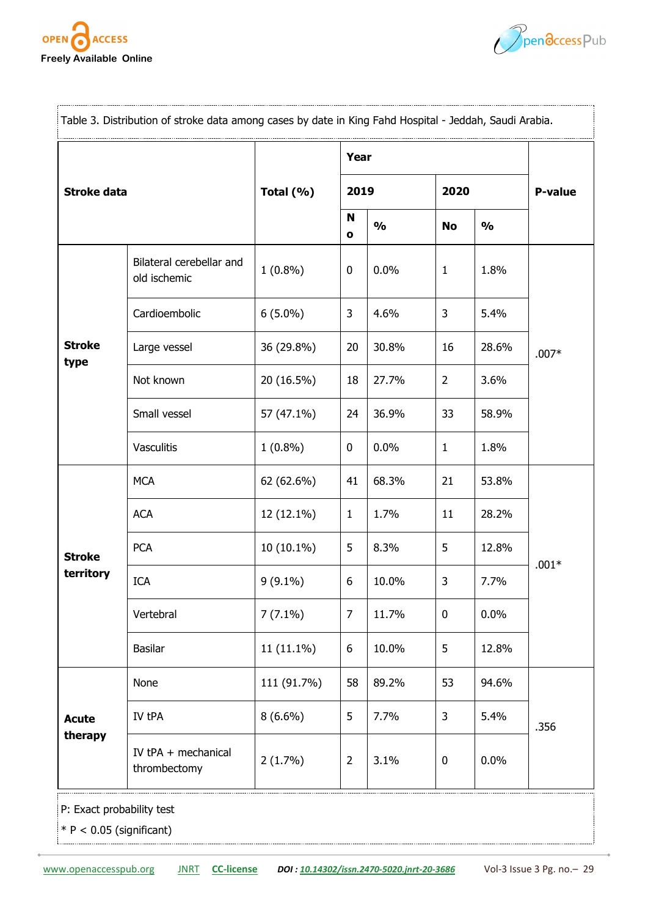



| Table 3. Distribution of stroke data among cases by date in King Fahd Hospital - Jeddah, Saudi Arabia. |                                          |             |                   |               |                |               |                |  |
|--------------------------------------------------------------------------------------------------------|------------------------------------------|-------------|-------------------|---------------|----------------|---------------|----------------|--|
| <b>Stroke data</b>                                                                                     |                                          |             | Year              |               |                |               |                |  |
|                                                                                                        |                                          | Total (%)   |                   | 2019          |                |               | <b>P-value</b> |  |
|                                                                                                        |                                          |             | N<br>$\mathbf{o}$ | $\frac{0}{0}$ | <b>No</b>      | $\frac{1}{2}$ |                |  |
| <b>Stroke</b><br>type                                                                                  | Bilateral cerebellar and<br>old ischemic | $1(0.8\%)$  | 0                 | 0.0%          | $\mathbf{1}$   | 1.8%          | $.007*$        |  |
|                                                                                                        | Cardioembolic                            | $6(5.0\%)$  | 3                 | 4.6%          | 3              | 5.4%          |                |  |
|                                                                                                        | Large vessel                             | 36 (29.8%)  | 20                | 30.8%         | 16             | 28.6%         |                |  |
|                                                                                                        | Not known                                | 20 (16.5%)  | 18                | 27.7%         | $\overline{2}$ | 3.6%          |                |  |
|                                                                                                        | Small vessel                             | 57 (47.1%)  | 24                | 36.9%         | 33             | 58.9%         |                |  |
|                                                                                                        | Vasculitis                               | $1(0.8\%)$  | 0                 | 0.0%          | 1              | 1.8%          |                |  |
| <b>Stroke</b><br>territory                                                                             | <b>MCA</b>                               | 62 (62.6%)  | 41                | 68.3%         | 21             | 53.8%         | $.001*$        |  |
|                                                                                                        | <b>ACA</b>                               | 12 (12.1%)  | $\mathbf{1}$      | 1.7%          | 11             | 28.2%         |                |  |
|                                                                                                        | <b>PCA</b>                               | 10 (10.1%)  | 5                 | 8.3%          | 5              | 12.8%         |                |  |
|                                                                                                        | <b>ICA</b>                               | $9(9.1\%)$  | 6                 | 10.0%         | 3              | 7.7%          |                |  |
|                                                                                                        | Vertebral                                | $7(7.1\%)$  | 7                 | 11.7%         | $\mathbf 0$    | 0.0%          |                |  |
|                                                                                                        | Basilar                                  | 11 (11.1%)  | 6                 | 10.0%         | 5              | 12.8%         |                |  |
| <b>Acute</b><br>therapy                                                                                | None                                     | 111 (91.7%) | 58                | 89.2%         | 53             | 94.6%         | .356           |  |
|                                                                                                        | IV tPA                                   | $8(6.6\%)$  | 5                 | 7.7%          | 3              | 5.4%          |                |  |
|                                                                                                        | IV tPA + mechanical<br>thrombectomy      | $2(1.7\%)$  | 2                 | 3.1%          | 0              | 0.0%          |                |  |
| P: Exact probability test                                                                              |                                          |             |                   |               |                |               |                |  |

 $* P < 0.05$  (significant)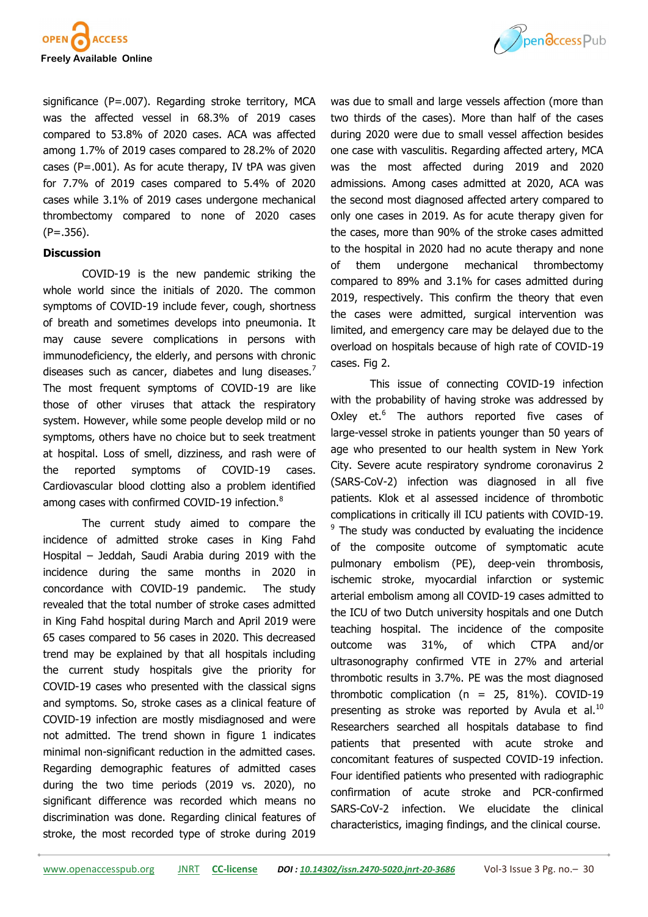

significance (P=.007). Regarding stroke territory, MCA was the affected vessel in 68.3% of 2019 cases compared to 53.8% of 2020 cases. ACA was affected among 1.7% of 2019 cases compared to 28.2% of 2020 cases ( $P = .001$ ). As for acute therapy, IV tPA was given for 7.7% of 2019 cases compared to 5.4% of 2020 cases while 3.1% of 2019 cases undergone mechanical thrombectomy compared to none of 2020 cases (P=.356).

#### **Discussion**

COVID-19 is the new pandemic striking the whole world since the initials of 2020. The common symptoms of COVID-19 include fever, cough, shortness of breath and sometimes develops into pneumonia. It may cause severe complications in persons with immunodeficiency, the elderly, and persons with chronic diseases such as cancer, diabetes and lung diseases.<sup>7</sup> The most frequent symptoms of COVID-19 are like those of other viruses that attack the respiratory system. However, while some people develop mild or no symptoms, others have no choice but to seek treatment at hospital. Loss of smell, dizziness, and rash were of the reported symptoms of COVID-19 cases. Cardiovascular blood clotting also a problem identified among cases with confirmed COVID-19 infection.<sup>8</sup>

The current study aimed to compare the incidence of admitted stroke cases in King Fahd Hospital – Jeddah, Saudi Arabia during 2019 with the incidence during the same months in 2020 in concordance with COVID-19 pandemic. The study revealed that the total number of stroke cases admitted in King Fahd hospital during March and April 2019 were 65 cases compared to 56 cases in 2020. This decreased trend may be explained by that all hospitals including the current study hospitals give the priority for COVID-19 cases who presented with the classical signs and symptoms. So, stroke cases as a clinical feature of COVID-19 infection are mostly misdiagnosed and were not admitted. The trend shown in figure 1 indicates minimal non-significant reduction in the admitted cases. Regarding demographic features of admitted cases during the two time periods (2019 vs. 2020), no significant difference was recorded which means no discrimination was done. Regarding clinical features of stroke, the most recorded type of stroke during 2019



was due to small and large vessels affection (more than two thirds of the cases). More than half of the cases during 2020 were due to small vessel affection besides one case with vasculitis. Regarding affected artery, MCA was the most affected during 2019 and 2020 admissions. Among cases admitted at 2020, ACA was the second most diagnosed affected artery compared to only one cases in 2019. As for acute therapy given for the cases, more than 90% of the stroke cases admitted to the hospital in 2020 had no acute therapy and none of them undergone mechanical thrombectomy compared to 89% and 3.1% for cases admitted during 2019, respectively. This confirm the theory that even the cases were admitted, surgical intervention was limited, and emergency care may be delayed due to the overload on hospitals because of high rate of COVID-19 cases. Fig 2.

This issue of connecting COVID-19 infection with the probability of having stroke was addressed by Oxley et.<sup>6</sup> The authors reported five cases of large-vessel stroke in patients younger than 50 years of age who presented to our health system in New York City. Severe acute respiratory syndrome coronavirus 2 (SARS-CoV-2) infection was diagnosed in all five patients. Klok et al assessed incidence of thrombotic complications in critically ill ICU patients with COVID-19. <sup>9</sup> The study was conducted by evaluating the incidence of the composite outcome of symptomatic acute pulmonary embolism (PE), deep-vein thrombosis, ischemic stroke, myocardial infarction or systemic arterial embolism among all COVID-19 cases admitted to the ICU of two Dutch university hospitals and one Dutch teaching hospital. The incidence of the composite outcome was 31%, of which CTPA and/or ultrasonography confirmed VTE in 27% and arterial thrombotic results in 3.7%. PE was the most diagnosed thrombotic complication ( $n = 25$ , 81%). COVID-19 presenting as stroke was reported by Avula et al. $^{10}$ Researchers searched all hospitals database to find patients that presented with acute stroke and concomitant features of suspected COVID-19 infection. Four identified patients who presented with radiographic confirmation of acute stroke and PCR-confirmed SARS-CoV-2 infection. We elucidate the clinical characteristics, imaging findings, and the clinical course.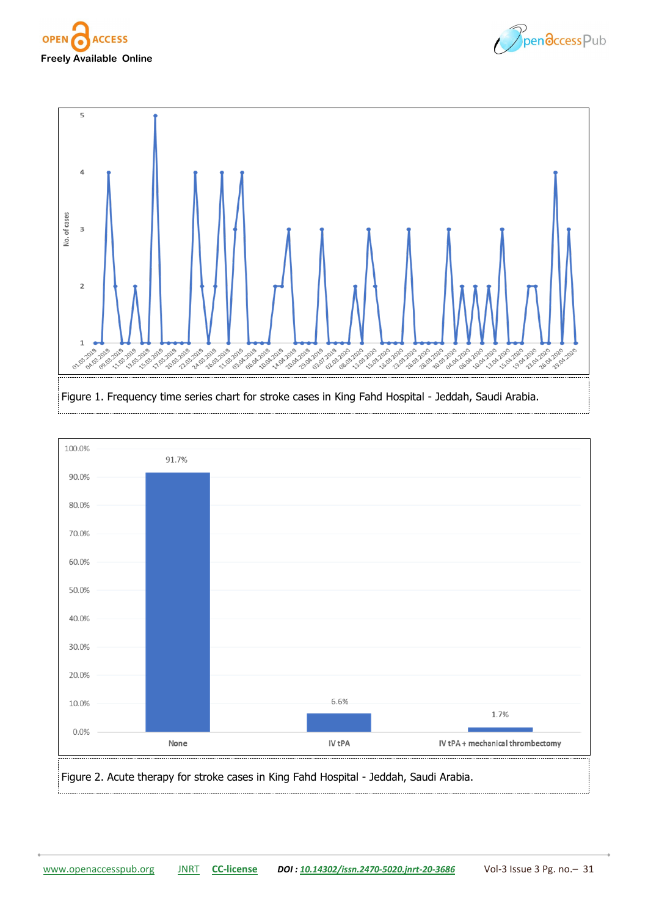